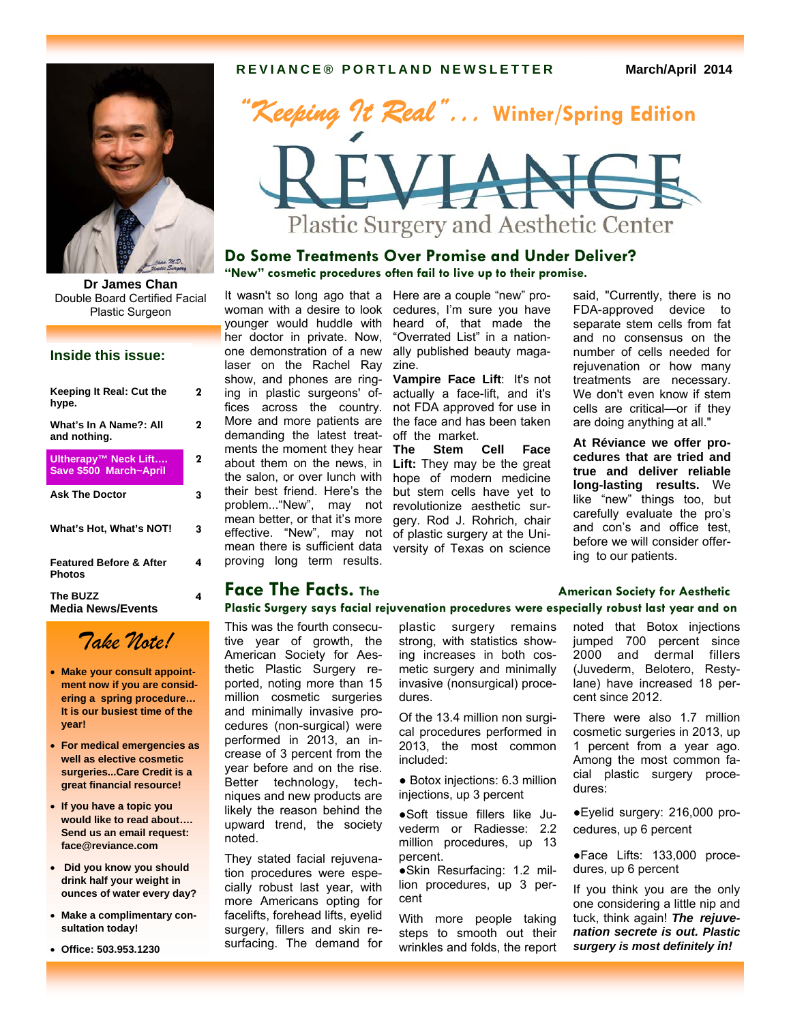#### **REVIANCE® PORTLAND NEWSLETTER March/April 2014**



**Dr James Chan**  Double Board Certified Facial Plastic Surgeon

#### **Inside this issue:**

| Keeping It Real: Cut the<br>hype.              | 2 |
|------------------------------------------------|---|
| What's In A Name?: All<br>and nothing.         | 2 |
| Ultherapy™ Neck Lift<br>Save \$500 March~April | 2 |
| <b>Ask The Doctor</b>                          | 3 |
| What's Hot, What's NOT!                        | 3 |
| <b>Featured Before &amp; After</b><br>Photos   | 4 |
| The BUZZ<br>Media News/Events                  | 4 |

# *Take Note!*

- **Make your consult appointment now if you are considering a spring procedure… It is our busiest time of the year!**
- **For medical emergencies as well as elective cosmetic surgeries...Care Credit is a great financial resource!**
- **If you have a topic you would like to read about…. Send us an email request: face@reviance.com**
- **Did you know you should drink half your weight in ounces of water every day?**
- **Make a complimentary consultation today!**

**Office: 503.953.1230** 



#### **Do Some Treatments Over Promise and Under Deliver? "New" cosmetic procedures often fail to live up to their promise.**

one demonstration of a new laser on the Rachel Ray zine. demanding the latest treatments the moment they hear about them on the news, in the salon, or over lunch with their best friend. Here's the mean better, or that it's more proving long term results.

It wasn't so long ago that a Here are a couple "new" prowoman with a desire to look cedures, I'm sure you have younger would huddle with heard of, that made the her doctor in private. Now, "Overrated List" in a nationally published beauty maga-

show, and phones are ring-**Vampire Face Lift**: It's not ing in plastic surgeons' of-actually a face-lift, and it's fices across the country. not FDA approved for use in More and more patients are the face and has been taken off the market.

problem..."New", may not revolutionize aesthetic sureffective. "New", may not of plastic surgery at the Unimean there is sufficient data versity of Texas on science **The Stem Cell Face Lift:** They may be the great hope of modern medicine but stem cells have yet to gery. Rod J. Rohrich, chair

said, "Currently, there is no FDA-approved device to separate stem cells from fat and no consensus on the number of cells needed for rejuvenation or how many treatments are necessary. We don't even know if stem cells are critical—or if they are doing anything at all."

**At Réviance we offer procedures that are tried and true and deliver reliable long-lasting results.** We like "new" things too, but carefully evaluate the pro's and con's and office test, before we will consider offering to our patients.

#### **Face The Facts.** The **American Society for Aesthetic Face 7 Plastic Surgery says facial rejuvenation procedures were especially robust last year and on**

This was the fourth consecutive year of growth, the American Society for Aesthetic Plastic Surgery reported, noting more than 15 million cosmetic surgeries and minimally invasive procedures (non-surgical) were performed in 2013, an increase of 3 percent from the year before and on the rise. Better technology, techniques and new products are likely the reason behind the upward trend, the society noted.

They stated facial rejuvenation procedures were especially robust last year, with more Americans opting for facelifts, forehead lifts, eyelid surgery, fillers and skin resurfacing. The demand for plastic surgery remains strong, with statistics showing increases in both cosmetic surgery and minimally invasive (nonsurgical) procedures.

Of the 13.4 million non surgical procedures performed in 2013, the most common included:

● Botox injections: 6.3 million injections, up 3 percent

●Soft tissue fillers like Juvederm or Radiesse: 2.2 million procedures, up 13 percent.

●Skin Resurfacing: 1.2 million procedures, up 3 percent

With more people taking steps to smooth out their wrinkles and folds, the report noted that Botox injections jumped 700 percent since 2000 and dermal fillers (Juvederm, Belotero, Restylane) have increased 18 percent since 2012.

There were also 1.7 million cosmetic surgeries in 2013, up 1 percent from a year ago. Among the most common facial plastic surgery procedures:

●Eyelid surgery: 216,000 procedures, up 6 percent

●Face Lifts: 133,000 procedures, up 6 percent

If you think you are the only one considering a little nip and tuck, think again! *The rejuvenation secrete is out. Plastic surgery is most definitely in!*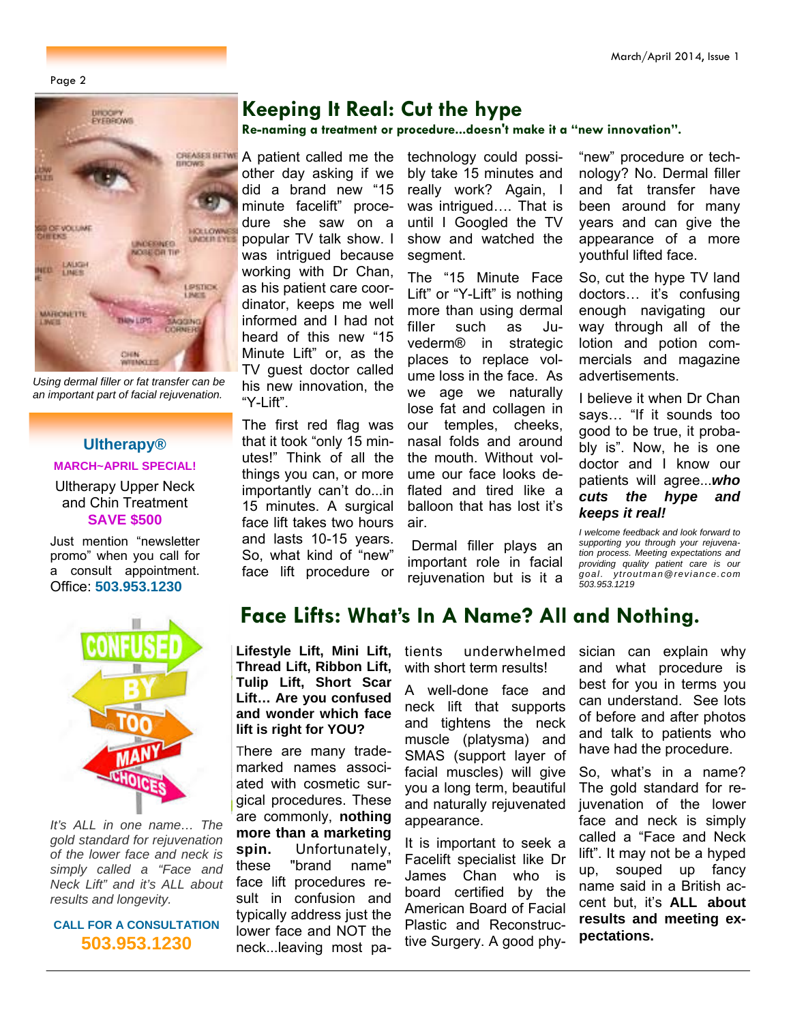Page 2



*Using dermal filler or fat transfer can be an important part of facial rejuvenation.* 

# **Ultherapy®**

### **MARCH~APRIL SPECIAL!**

Ultherapy Upper Neck and Chin Treatment **SAVE \$500** 

Just mention "newsletter promo" when you call for a consult appointment. Office: **503.953.1230**



*It's ALL in one name… The gold standard for rejuvenation of the lower face and neck is simply called a "Face and Neck Lift" and it's ALL about results and longevity.* 

#### **CALL FOR A CONSULTATION 503.953.1230**

## **Keeping It Real: Cut the hype**

**Re-naming a treatment or procedure...doesn't make it a "new innovation".** 

**CREASES BETWE** A patient called me the other day asking if we did a brand new "15 minute facelift" procedure she saw on a popular TV talk show. I was intrigued because working with Dr Chan, as his patient care coordinator, keeps me well informed and I had not heard of this new "15 Minute Lift" or, as the TV guest doctor called his new innovation, the "Y-Lift".

> The first red flag was that it took "only 15 minutes!" Think of all the things you can, or more importantly can't do...in 15 minutes. A surgical face lift takes two hours and lasts 10-15 years. So, what kind of "new" face lift procedure or

technology could possibly take 15 minutes and really work? Again, I was intrigued…. That is until I Googled the TV show and watched the segment.

The "15 Minute Face Lift" or "Y-Lift" is nothing more than using dermal filler such as Juvederm® in strategic places to replace volume loss in the face. As we age we naturally lose fat and collagen in our temples, cheeks, nasal folds and around the mouth. Without volume our face looks deflated and tired like a balloon that has lost it's air.

 Dermal filler plays an important role in facial rejuvenation but is it a

"new" procedure or technology? No. Dermal filler and fat transfer have been around for many years and can give the appearance of a more youthful lifted face.

So, cut the hype TV land doctors… it's confusing enough navigating our way through all of the lotion and potion commercials and magazine advertisements.

I believe it when Dr Chan says… "If it sounds too good to be true, it probably is". Now, he is one doctor and I know our patients will agree...*who cuts the hype and keeps it real!* 

*I welcome feedback and look forward to supporting you through your rejuvenation process. Meeting expectations and providing quality patient care is our goal. ytroutman@reviance.com 503.953.1219* 

## **Face Lifts: What's In A Name? All and Nothing.**

**Lifestyle Lift, Mini Lift, Thread Lift, Ribbon Lift, Tulip Lift, Short Scar Lift… Are you confused and wonder which face lift is right for YOU?** 

There are many trademarked names associated with cosmetic surgical procedures. These are commonly, **nothing more than a marketing spin.** Unfortunately, these "brand name" face lift procedures result in confusion and typically address just the lower face and NOT the neck...leaving most patients underwhelmed with short term results!

A well-done face and neck lift that supports and tightens the neck muscle (platysma) and SMAS (support layer of facial muscles) will give you a long term, beautiful and naturally rejuvenated appearance.

It is important to seek a Facelift specialist like Dr James Chan who is board certified by the American Board of Facial Plastic and Reconstructive Surgery. A good physician can explain why and what procedure is best for you in terms you can understand. See lots of before and after photos and talk to patients who have had the procedure.

So, what's in a name? The gold standard for rejuvenation of the lower face and neck is simply called a "Face and Neck lift". It may not be a hyped up, souped up fancy name said in a British accent but, it's **ALL about results and meeting expectations.**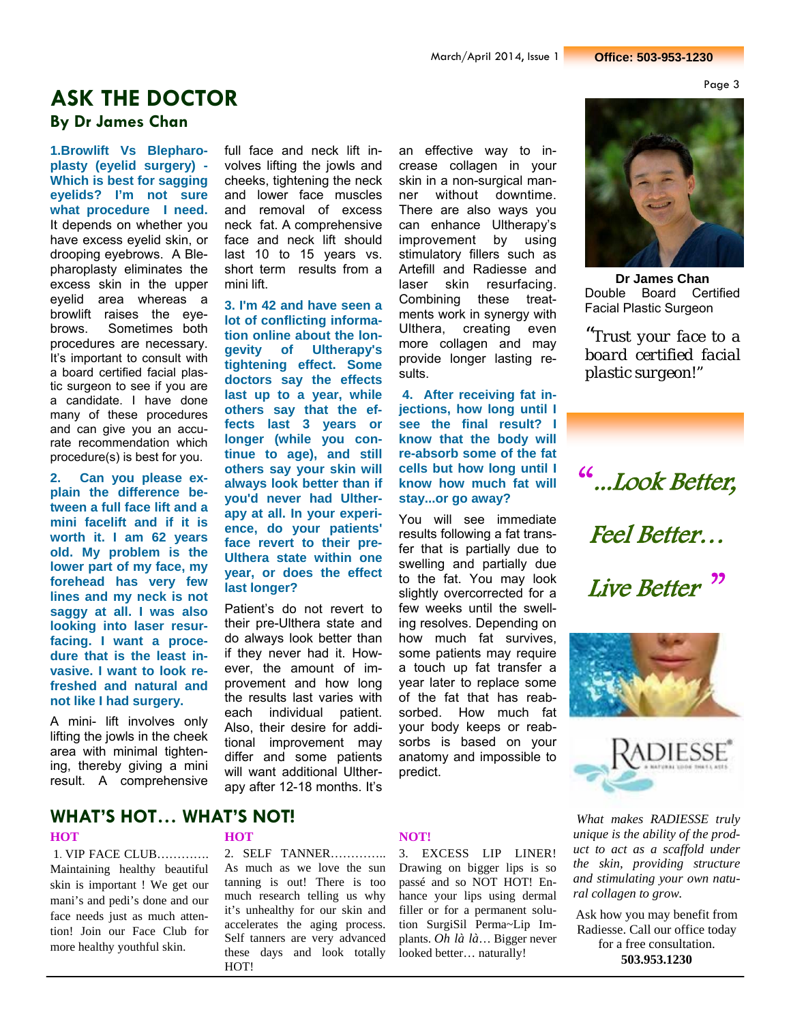Page 3

# **ASK THE DOCTOR**

**By Dr James Chan** 

**1.Browlift Vs Blepharoplasty (eyelid surgery) - Which is best for sagging eyelids? I'm not sure what procedure I need.**  It depends on whether you have excess eyelid skin, or drooping eyebrows. A Blepharoplasty eliminates the excess skin in the upper eyelid area whereas a browlift raises the eyebrows. Sometimes both procedures are necessary. It's important to consult with a board certified facial plastic surgeon to see if you are a candidate. I have done many of these procedures and can give you an accurate recommendation which procedure(s) is best for you.

**2. Can you please explain the difference between a full face lift and a mini facelift and if it is worth it. I am 62 years old. My problem is the lower part of my face, my forehead has very few lines and my neck is not saggy at all. I was also looking into laser resurfacing. I want a procedure that is the least invasive. I want to look refreshed and natural and not like I had surgery.** 

A mini- lift involves only lifting the jowls in the cheek area with minimal tightening, thereby giving a mini result. A comprehensive

full face and neck lift involves lifting the jowls and cheeks, tightening the neck and lower face muscles and removal of excess neck fat. A comprehensive face and neck lift should last 10 to 15 years vs. short term results from a mini lift.

**3. I'm 42 and have seen a lot of conflicting information online about the longevity of Ultherapy's tightening effect. Some doctors say the effects**  last up to a year, while **others say that the effects last 3 years or longer (while you continue to age), and still others say your skin will always look better than if you'd never had Ultherapy at all. In your experience, do your patients' face revert to their pre-Ulthera state within one year, or does the effect last longer?** 

Patient's do not revert to their pre-Ulthera state and do always look better than if they never had it. However, the amount of improvement and how long the results last varies with each individual patient. Also, their desire for additional improvement may differ and some patients will want additional Ultherapy after 12-18 months. It's

an effective way to increase collagen in your skin in a non-surgical manner without downtime. There are also ways you can enhance Ultherapy's improvement by using stimulatory fillers such as Artefill and Radiesse and laser skin resurfacing. Combining these treatments work in synergy with Ulthera, creating even more collagen and may provide longer lasting results.

**4. After receiving fat injections, how long until I see the final result? I know that the body will re-absorb some of the fat cells but how long until I know how much fat will stay...or go away?** 

You will see immediate results following a fat transfer that is partially due to swelling and partially due to the fat. You may look slightly overcorrected for a few weeks until the swelling resolves. Depending on how much fat survives, some patients may require a touch up fat transfer a year later to replace some of the fat that has reabsorbed. How much fat your body keeps or reabsorbs is based on your anatomy and impossible to predict.

**Dr James Chan**  Double Board Certified Facial Plastic Surgeon

*"Trust your face to a board certified facial plastic surgeon!"*

"...Look Better, Feel Better… Live Better<sup>"</sup>





*What makes RADIESSE truly unique is the ability of the product to act as a scaffold under the skin, providing structure and stimulating your own natural collagen to grow.* 

Ask how you may benefit from Radiesse. Call our office today for a free consultation. **503.953.1230**

### **HOT NOT! WHAT'S HOT… WHAT'S NOT!**

# 1. VIP FACE CLUB………….

Maintaining healthy beautiful skin is important ! We get our mani's and pedi's done and our face needs just as much attention! Join our Face Club for more healthy youthful skin.

2. SELF TANNER………….. As much as we love the sun tanning is out! There is too much research telling us why it's unhealthy for our skin and accelerates the aging process. Self tanners are very advanced these days and look totally HOT!

3. EXCESS LIP LINER! Drawing on bigger lips is so passé and so NOT HOT! Enhance your lips using dermal filler or for a permanent solution SurgiSil Perma~Lip Implants. *Oh là là*… Bigger never looked better… naturally!